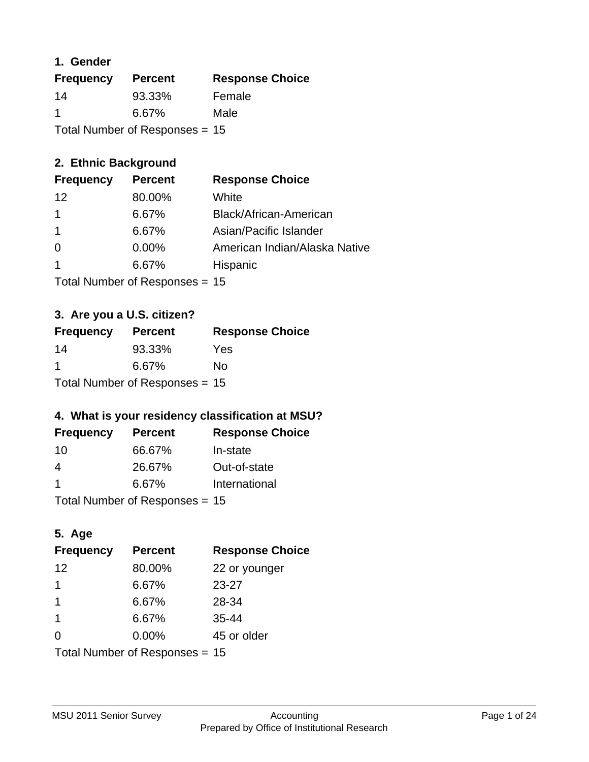### **1. Gender**

| <b>Frequency</b>                 | <b>Percent</b> | <b>Response Choice</b> |
|----------------------------------|----------------|------------------------|
| 14                               | 93.33%         | Female                 |
| -1                               | 6.67%          | Male                   |
| Total Number of Responses = $15$ |                |                        |

### **2. Ethnic Background**

| <b>Frequency</b> | <b>Percent</b> | <b>Response Choice</b>        |
|------------------|----------------|-------------------------------|
| 12               | 80.00%         | White                         |
|                  | 6.67%          | Black/African-American        |
|                  | 6.67%          | Asian/Pacific Islander        |
| $\Omega$         | $0.00\%$       | American Indian/Alaska Native |
|                  | 6.67%          | Hispanic                      |
|                  |                |                               |

Total Number of Responses = 15

## **3. Are you a U.S. citizen?**

| <b>Frequency</b>                 | <b>Percent</b> | <b>Response Choice</b> |
|----------------------------------|----------------|------------------------|
| 14                               | 93.33%         | Yes                    |
| -1                               | 6.67%          | N٥                     |
| Total Number of Responses = $15$ |                |                        |

## **4. What is your residency classification at MSU?**

| <b>Frequency</b> | <b>Percent</b> | <b>Response Choice</b> |
|------------------|----------------|------------------------|
| -10              | 66.67%         | In-state               |
| 4                | 26.67%         | Out-of-state           |
|                  | 6.67%          | International          |
|                  |                |                        |

Total Number of Responses = 15

## **5. Age**

| <b>Frequency</b>               | <b>Percent</b> | <b>Response Choice</b> |
|--------------------------------|----------------|------------------------|
| 12                             | 80.00%         | 22 or younger          |
| 1                              | 6.67%          | $23 - 27$              |
| 1                              | 6.67%          | 28-34                  |
| $\mathbf{1}$                   | 6.67%          | $35 - 44$              |
| $\Omega$                       | 0.00%          | 45 or older            |
| Total Number of Responses = 15 |                |                        |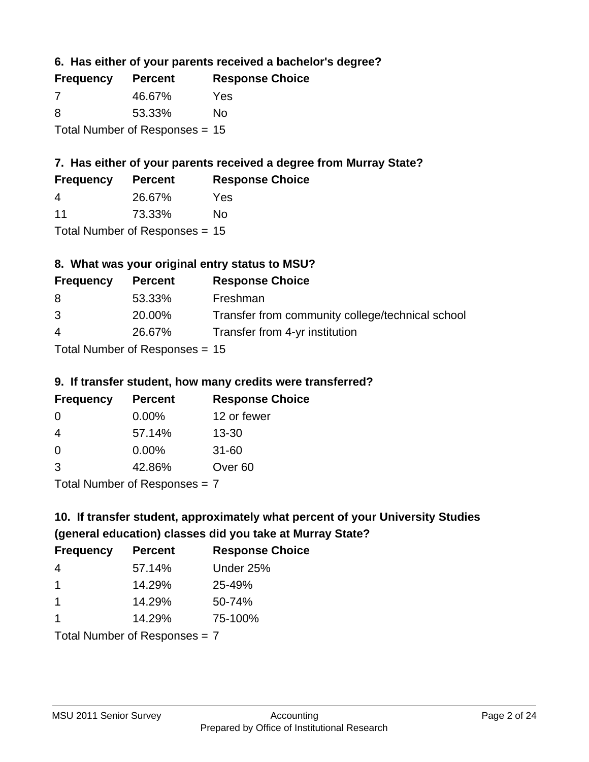**6. Has either of your parents received a bachelor's degree?**

| <b>Frequency</b>                 | <b>Percent</b> | <b>Response Choice</b> |
|----------------------------------|----------------|------------------------|
| -7                               | 46.67%         | Yes                    |
| 8                                | 53.33%         | No                     |
| Total Number of Responses = $15$ |                |                        |

## **7. Has either of your parents received a degree from Murray State?**

| <b>Frequency</b>      | <b>Percent</b> | <b>Response Choice</b> |
|-----------------------|----------------|------------------------|
| $\boldsymbol{\Delta}$ | 26.67%         | Yes                    |
| 11                    | 73.33%         | No                     |

Total Number of Responses = 15

## **8. What was your original entry status to MSU?**

| <b>Frequency</b> | <b>Percent</b>             | <b>Response Choice</b>                           |
|------------------|----------------------------|--------------------------------------------------|
| 8                | 53.33%                     | Freshman                                         |
| 3                | 20.00%                     | Transfer from community college/technical school |
| $\overline{4}$   | 26.67%                     | Transfer from 4-yr institution                   |
|                  | Tetal Number of Desperance |                                                  |

Total Number of Responses = 15

### **9. If transfer student, how many credits were transferred?**

| <b>Frequency</b>            | <b>Percent</b> | <b>Response Choice</b> |
|-----------------------------|----------------|------------------------|
| -0                          | $0.00\%$       | 12 or fewer            |
| -4                          | 57.14%         | $13 - 30$              |
| 0                           | $0.00\%$       | $31 - 60$              |
| -3                          | 42.86%         | Over <sub>60</sub>     |
| Total Number of Despenses 7 |                |                        |

Total Number of Responses = 7

## **10. If transfer student, approximately what percent of your University Studies (general education) classes did you take at Murray State?**

| <b>Frequency</b>              | <b>Percent</b> | <b>Response Choice</b> |
|-------------------------------|----------------|------------------------|
| 4                             | 57.14%         | Under 25%              |
| -1                            | 14.29%         | 25-49%                 |
| -1                            | 14.29%         | 50-74%                 |
| -1                            | 14.29%         | 75-100%                |
| Total Number of Reconnege – 7 |                |                        |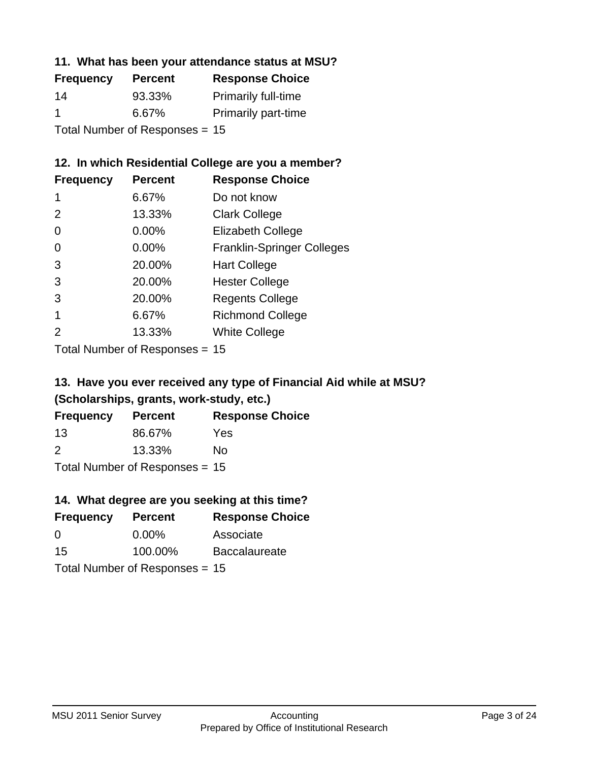### **11. What has been your attendance status at MSU?**

| <b>Frequency</b>               | <b>Percent</b> | <b>Response Choice</b>     |
|--------------------------------|----------------|----------------------------|
| 14                             | 93.33%         | <b>Primarily full-time</b> |
| $\blacktriangleleft$           | 6.67%          | <b>Primarily part-time</b> |
| Total Number of Responses = 15 |                |                            |

### **12. In which Residential College are you a member?**

| <b>Frequency</b> | <b>Percent</b> | <b>Response Choice</b>            |
|------------------|----------------|-----------------------------------|
| 1                | 6.67%          | Do not know                       |
| 2                | 13.33%         | <b>Clark College</b>              |
| 0                | 0.00%          | <b>Elizabeth College</b>          |
| 0                | 0.00%          | <b>Franklin-Springer Colleges</b> |
| 3                | 20.00%         | <b>Hart College</b>               |
| 3                | 20.00%         | <b>Hester College</b>             |
| 3                | 20.00%         | <b>Regents College</b>            |
|                  | 6.67%          | <b>Richmond College</b>           |
|                  | 13.33%         | <b>White College</b>              |
|                  |                |                                   |

Total Number of Responses = 15

## **13. Have you ever received any type of Financial Aid while at MSU? (Scholarships, grants, work-study, etc.)**

| <b>Frequency</b> | <b>Percent</b>              | <b>Response Choice</b> |
|------------------|-----------------------------|------------------------|
| 13               | 86.67%                      | Yes                    |
| 2                | 13.33%                      | No                     |
|                  | Tatal Massakan af Dagmannar |                        |

Total Number of Responses = 15

## **14. What degree are you seeking at this time?**

| <b>Frequency</b> | <b>Percent</b>                   | <b>Response Choice</b> |
|------------------|----------------------------------|------------------------|
| 0                | $0.00\%$                         | Associate              |
| 15               | 100.00%                          | <b>Baccalaureate</b>   |
|                  | Total Number of Responses = $15$ |                        |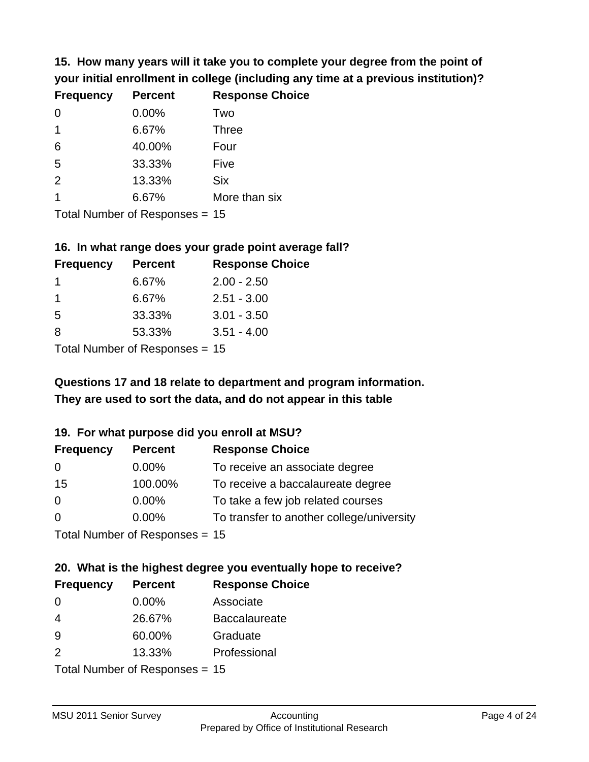**15. How many years will it take you to complete your degree from the point of your initial enrollment in college (including any time at a previous institution)?**

| <b>Frequency</b> | <b>Percent</b> | <b>Response Choice</b> |
|------------------|----------------|------------------------|
| $\Omega$         | 0.00%          | Two                    |
| $\overline{1}$   | 6.67%          | <b>Three</b>           |
| 6                | 40.00%         | Four                   |
| 5                | 33.33%         | Five                   |
| 2                | 13.33%         | <b>Six</b>             |
| 1                | 6.67%          | More than six          |
|                  |                |                        |

Total Number of Responses = 15

### **16. In what range does your grade point average fall?**

| <b>Frequency</b> | <b>Percent</b> | <b>Response Choice</b> |
|------------------|----------------|------------------------|
|                  | 6.67%          | $2.00 - 2.50$          |
|                  | 6.67%          | $2.51 - 3.00$          |
| -5               | 33.33%         | $3.01 - 3.50$          |
| 8                | 53.33%         | $3.51 - 4.00$          |
|                  |                |                        |

Total Number of Responses = 15

## **They are used to sort the data, and do not appear in this table Questions 17 and 18 relate to department and program information.**

### **19. For what purpose did you enroll at MSU?**

| <b>Frequency</b>               | <b>Percent</b> | <b>Response Choice</b>                    |
|--------------------------------|----------------|-------------------------------------------|
| 0                              | $0.00\%$       | To receive an associate degree            |
| 15                             | 100.00%        | To receive a baccalaureate degree         |
| 0                              | $0.00\%$       | To take a few job related courses         |
| $\Omega$                       | $0.00\%$       | To transfer to another college/university |
| Total Number of Responses - 15 |                |                                           |

Total Number of Responses = 15

## **20. What is the highest degree you eventually hope to receive?**

| <b>Frequency</b> | <b>Percent</b>                  | <b>Response Choice</b> |
|------------------|---------------------------------|------------------------|
| 0                | 0.00%                           | Associate              |
| $\overline{4}$   | 26.67%                          | <b>Baccalaureate</b>   |
| 9                | 60.00%                          | Graduate               |
| 2                | 13.33%                          | Professional           |
|                  | $Total Number of Denonose = 15$ |                        |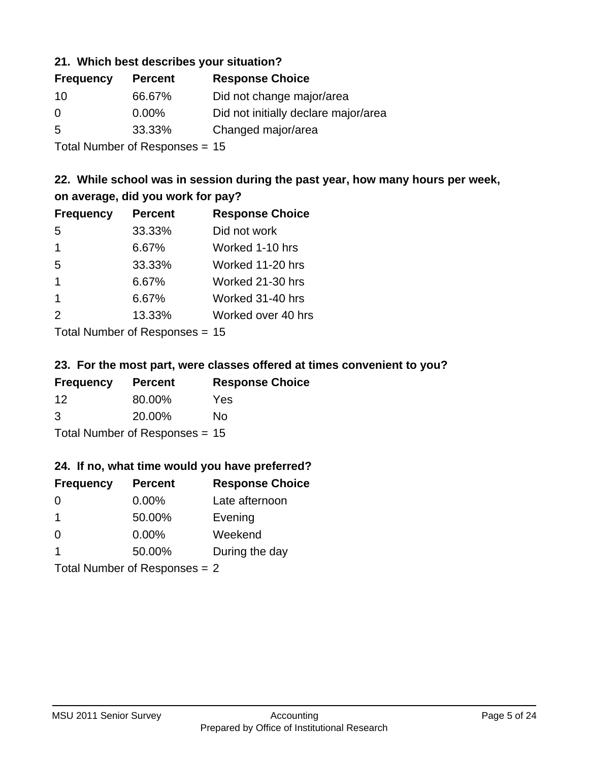### **21. Which best describes your situation?**

| <b>Frequency</b> | <b>Percent</b> | <b>Response Choice</b>               |
|------------------|----------------|--------------------------------------|
| 10               | 66.67%         | Did not change major/area            |
| 0                | $0.00\%$       | Did not initially declare major/area |
| -5               | 33.33%         | Changed major/area                   |
|                  |                |                                      |

Total Number of Responses = 15

### **22. While school was in session during the past year, how many hours per week, on average, did you work for pay?**

| <b>Frequency</b> | <b>Percent</b> | <b>Response Choice</b> |
|------------------|----------------|------------------------|
| 5                | 33.33%         | Did not work           |
| $\mathbf 1$      | 6.67%          | Worked 1-10 hrs        |
| 5                | 33.33%         | Worked 11-20 hrs       |
| $\mathbf 1$      | 6.67%          | Worked 21-30 hrs       |
| $\mathbf 1$      | 6.67%          | Worked 31-40 hrs       |
| 2                | 13.33%         | Worked over 40 hrs     |
|                  |                |                        |

Total Number of Responses = 15

### **23. For the most part, were classes offered at times convenient to you?**

| <b>Frequency</b> | <b>Percent</b>                 | <b>Response Choice</b> |
|------------------|--------------------------------|------------------------|
| 12               | 80.00%                         | <b>Yes</b>             |
| 3                | 20.00%                         | No.                    |
|                  | Total Number of Responses = 15 |                        |

### **24. If no, what time would you have preferred?**

| <b>Frequency</b> | <b>Percent</b>                  | <b>Response Choice</b> |
|------------------|---------------------------------|------------------------|
| $\Omega$         | $0.00\%$                        | Late afternoon         |
| -1               | 50.00%                          | Evening                |
| $\Omega$         | $0.00\%$                        | Weekend                |
| $\mathbf 1$      | 50.00%                          | During the day         |
|                  | Total Number of Responses $= 2$ |                        |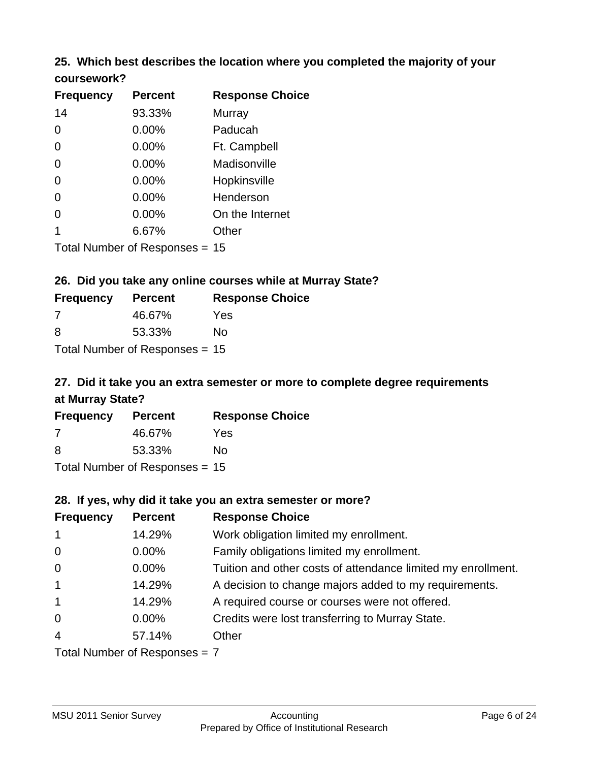# **25. Which best describes the location where you completed the majority of your**

| <b>Frequency</b> | <b>Percent</b>             | <b>Response Choice</b> |
|------------------|----------------------------|------------------------|
| 14               | 93.33%                     | <b>Murray</b>          |
| $\Omega$         | 0.00%                      | Paducah                |
| $\Omega$         | 0.00%                      | Ft. Campbell           |
| $\Omega$         | 0.00%                      | Madisonville           |
| $\overline{0}$   | 0.00%                      | Hopkinsville           |
| 0                | 0.00%                      | Henderson              |
| $\overline{0}$   | 0.00%                      | On the Internet        |
| 1                | 6.67%                      | Other                  |
|                  | Total Number of Deepersoon |                        |

Total Number of Responses = 15

**coursework?**

### **26. Did you take any online courses while at Murray State?**

| <b>Frequency</b> | <b>Percent</b>                 | <b>Response Choice</b> |
|------------------|--------------------------------|------------------------|
| -7               | 46.67%                         | Yes                    |
| -8               | 53.33%                         | No                     |
|                  | Total Number of Responses = 15 |                        |

## **27. Did it take you an extra semester or more to complete degree requirements at Murray State?**

| <b>Frequency</b> | <b>Percent</b>                   | <b>Response Choice</b> |
|------------------|----------------------------------|------------------------|
| 7                | 46.67%                           | Yes                    |
| 8                | 53.33%                           | No                     |
|                  | Total Number of Responses = $15$ |                        |

**28. If yes, why did it take you an extra semester or more?**

| <b>Frequency</b> | <b>Percent</b>                 | <b>Response Choice</b>                                       |
|------------------|--------------------------------|--------------------------------------------------------------|
| $\overline{1}$   | 14.29%                         | Work obligation limited my enrollment.                       |
| $\overline{0}$   | $0.00\%$                       | Family obligations limited my enrollment.                    |
| $\mathbf 0$      | $0.00\%$                       | Tuition and other costs of attendance limited my enrollment. |
| $\mathbf{1}$     | 14.29%                         | A decision to change majors added to my requirements.        |
| $\mathbf{1}$     | 14.29%                         | A required course or courses were not offered.               |
| $\mathbf 0$      | $0.00\%$                       | Credits were lost transferring to Murray State.              |
| $\overline{4}$   | 57.14%                         | Other                                                        |
|                  | Total Number of Poenances $-7$ |                                                              |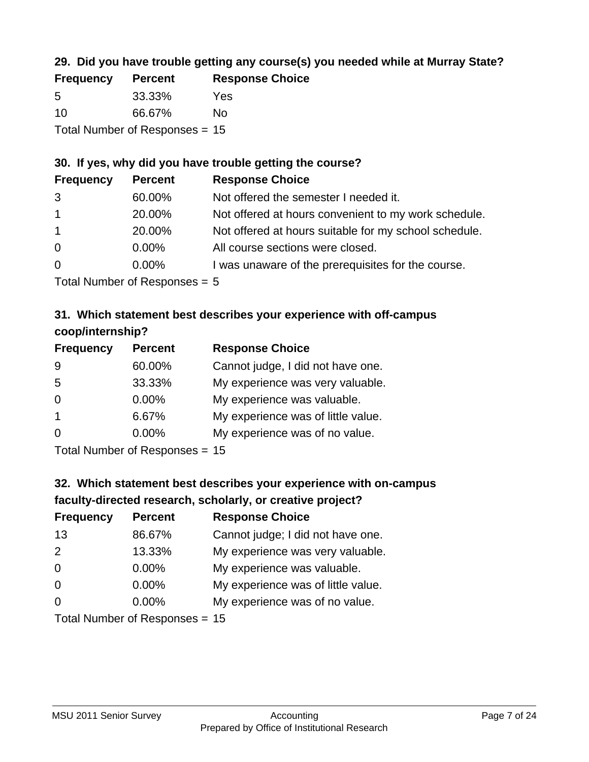### **29. Did you have trouble getting any course(s) you needed while at Murray State?**

| <b>Frequency</b> | <b>Percent</b>                   | <b>Response Choice</b> |
|------------------|----------------------------------|------------------------|
| -5               | 33.33%                           | Yes                    |
| 10               | 66.67%                           | Nο                     |
|                  | Total Number of Responses $= 15$ |                        |

### **30. If yes, why did you have trouble getting the course?**

| <b>Frequency</b> | <b>Percent</b> | <b>Response Choice</b>                                |
|------------------|----------------|-------------------------------------------------------|
| 3                | 60.00%         | Not offered the semester I needed it.                 |
| $\overline{1}$   | 20.00%         | Not offered at hours convenient to my work schedule.  |
| $\overline{1}$   | 20.00%         | Not offered at hours suitable for my school schedule. |
| $\overline{0}$   | $0.00\%$       | All course sections were closed.                      |
| $\overline{0}$   | $0.00\%$       | I was unaware of the prerequisites for the course.    |
|                  |                |                                                       |

Total Number of Responses = 5

### **31. Which statement best describes your experience with off-campus coop/internship?**

| <b>Frequency</b> | <b>Percent</b> | <b>Response Choice</b>             |
|------------------|----------------|------------------------------------|
| 9                | 60.00%         | Cannot judge, I did not have one.  |
| 5                | 33.33%         | My experience was very valuable.   |
| $\Omega$         | $0.00\%$       | My experience was valuable.        |
| -1               | 6.67%          | My experience was of little value. |
| $\Omega$         | 0.00%          | My experience was of no value.     |
|                  |                |                                    |

Total Number of Responses = 15

## **32. Which statement best describes your experience with on-campus faculty-directed research, scholarly, or creative project?**

| <b>Frequency</b> | <b>Percent</b>            | <b>Response Choice</b>             |
|------------------|---------------------------|------------------------------------|
| 13               | 86.67%                    | Cannot judge; I did not have one.  |
| 2                | 13.33%                    | My experience was very valuable.   |
| $\Omega$         | 0.00%                     | My experience was valuable.        |
| $\Omega$         | 0.00%                     | My experience was of little value. |
| $\Omega$         | 0.00%                     | My experience was of no value.     |
|                  | Total Number of Despenses |                                    |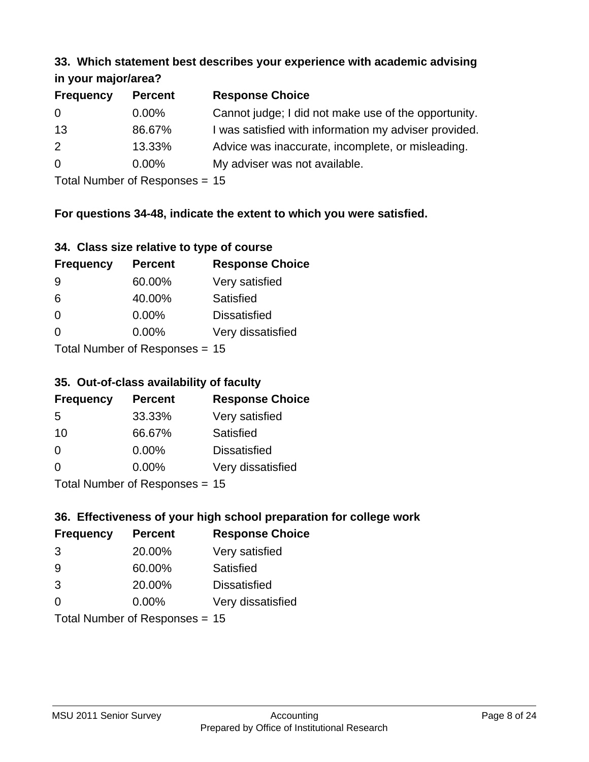### **33. Which statement best describes your experience with academic advising in your major/area?**

| $\cdots$ your mapproved. |                |                                                       |
|--------------------------|----------------|-------------------------------------------------------|
| <b>Frequency</b>         | <b>Percent</b> | <b>Response Choice</b>                                |
| 0                        | $0.00\%$       | Cannot judge; I did not make use of the opportunity.  |
| 13                       | 86.67%         | I was satisfied with information my adviser provided. |
| 2                        | 13.33%         | Advice was inaccurate, incomplete, or misleading.     |
| $\Omega$                 | $0.00\%$       | My adviser was not available.                         |
|                          |                |                                                       |

Total Number of Responses = 15

### **For questions 34-48, indicate the extent to which you were satisfied.**

| 34. Class size relative to type of course |  |  |  |  |  |  |  |  |
|-------------------------------------------|--|--|--|--|--|--|--|--|
|-------------------------------------------|--|--|--|--|--|--|--|--|

| <b>Frequency</b> | <b>Percent</b>                  | <b>Response Choice</b> |
|------------------|---------------------------------|------------------------|
| -9               | 60.00%                          | Very satisfied         |
| 6                | 40.00%                          | Satisfied              |
| $\Omega$         | $0.00\%$                        | <b>Dissatisfied</b>    |
| $\Omega$         | 0.00%                           | Very dissatisfied      |
|                  | Total Number of Responses $-15$ |                        |

Total Number of Responses = 15

### **35. Out-of-class availability of faculty**

| <b>Frequency</b> | <b>Percent</b>                   | <b>Response Choice</b> |
|------------------|----------------------------------|------------------------|
| 5                | 33.33%                           | Very satisfied         |
| 10               | 66.67%                           | Satisfied              |
| $\Omega$         | $0.00\%$                         | <b>Dissatisfied</b>    |
| $\Omega$         | $0.00\%$                         | Very dissatisfied      |
|                  | $Total Number of Doepopose = 45$ |                        |

Total Number of Responses = 15

## **36. Effectiveness of your high school preparation for college work**

| <b>Frequency</b> | <b>Percent</b>                 | <b>Response Choice</b> |
|------------------|--------------------------------|------------------------|
| 3                | 20.00%                         | Very satisfied         |
| 9                | 60.00%                         | Satisfied              |
| 3                | 20.00%                         | <b>Dissatisfied</b>    |
| $\Omega$         | $0.00\%$                       | Very dissatisfied      |
|                  | Total Number of Responses = 15 |                        |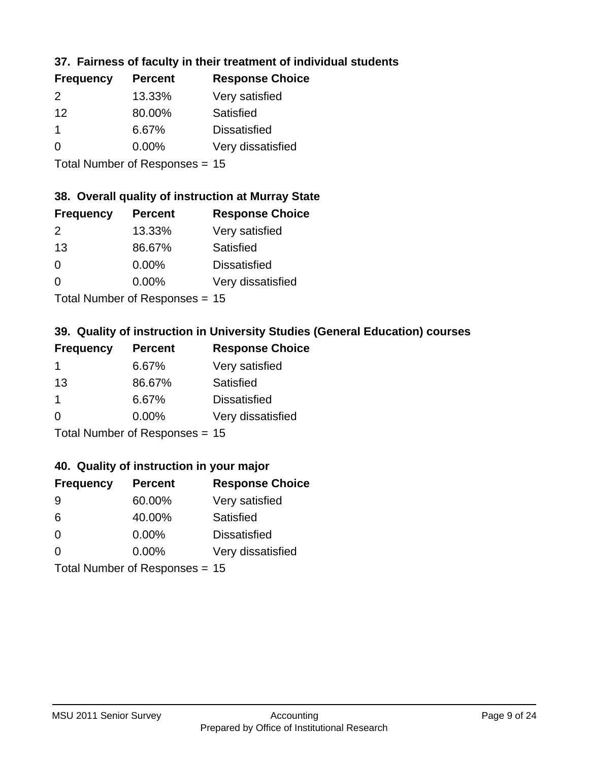### **37. Fairness of faculty in their treatment of individual students**

| <b>Frequency</b> | <b>Percent</b> | <b>Response Choice</b> |
|------------------|----------------|------------------------|
| $\mathcal{P}$    | 13.33%         | Very satisfied         |
| 12               | 80.00%         | Satisfied              |
|                  | 6.67%          | <b>Dissatisfied</b>    |
| $\Omega$         | 0.00%          | Very dissatisfied      |
|                  |                |                        |

Total Number of Responses = 15

### **38. Overall quality of instruction at Murray State**

| <b>Frequency</b> | <b>Percent</b> | <b>Response Choice</b> |
|------------------|----------------|------------------------|
| 2                | 13.33%         | Very satisfied         |
| 13               | 86.67%         | Satisfied              |
| $\Omega$         | 0.00%          | <b>Dissatisfied</b>    |
| $\Omega$         | 0.00%          | Very dissatisfied      |
|                  |                |                        |

Total Number of Responses = 15

### **39. Quality of instruction in University Studies (General Education) courses**

| <b>Frequency</b> | <b>Percent</b>            | <b>Response Choice</b> |
|------------------|---------------------------|------------------------|
| 1                | 6.67%                     | Very satisfied         |
| 13               | 86.67%                    | Satisfied              |
| -1               | 6.67%                     | <b>Dissatisfied</b>    |
| $\Omega$         | 0.00%                     | Very dissatisfied      |
|                  | Total Number of Deepensee |                        |

Total Number of Responses = 15

### **40. Quality of instruction in your major**

| <b>Frequency</b> | <b>Percent</b>                 | <b>Response Choice</b> |
|------------------|--------------------------------|------------------------|
| 9                | 60.00%                         | Very satisfied         |
| 6                | 40.00%                         | Satisfied              |
| $\Omega$         | $0.00\%$                       | <b>Dissatisfied</b>    |
| $\Omega$         | $0.00\%$                       | Very dissatisfied      |
|                  | Total Number of Responses = 15 |                        |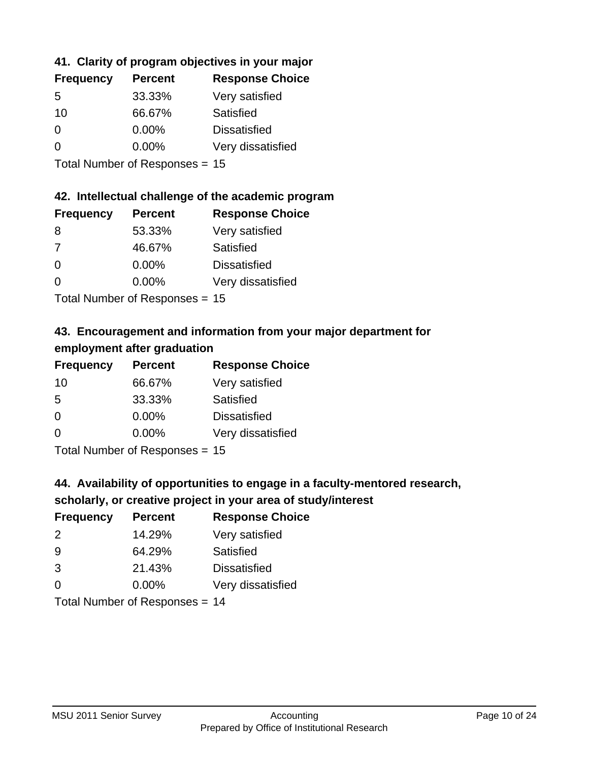### **41. Clarity of program objectives in your major**

| <b>Frequency</b> | <b>Percent</b> | <b>Response Choice</b> |
|------------------|----------------|------------------------|
| .5               | 33.33%         | Very satisfied         |
| 10               | 66.67%         | Satisfied              |
| $\Omega$         | 0.00%          | <b>Dissatisfied</b>    |
| $\Omega$         | 0.00%          | Very dissatisfied      |
|                  |                |                        |

Total Number of Responses = 15

### **42. Intellectual challenge of the academic program**

| <b>Frequency</b> | <b>Percent</b> | <b>Response Choice</b> |
|------------------|----------------|------------------------|
| 8                | 53.33%         | Very satisfied         |
| 7                | 46.67%         | Satisfied              |
| $\Omega$         | $0.00\%$       | <b>Dissatisfied</b>    |
| $\Omega$         | 0.00%          | Very dissatisfied      |
|                  |                |                        |

Total Number of Responses = 15

## **43. Encouragement and information from your major department for employment after graduation**

| <b>Frequency</b> | <b>Percent</b>              | <b>Response Choice</b> |
|------------------|-----------------------------|------------------------|
| 10               | 66.67%                      | Very satisfied         |
| 5                | 33.33%                      | Satisfied              |
| 0                | $0.00\%$                    | <b>Dissatisfied</b>    |
| $\Omega$         | 0.00%                       | Very dissatisfied      |
|                  | Tatal Massakan af Dagmannar |                        |

Total Number of Responses = 15

## **44. Availability of opportunities to engage in a faculty-mentored research,**

### **scholarly, or creative project in your area of study/interest**

| <b>Frequency</b> | <b>Percent</b> | <b>Response Choice</b> |
|------------------|----------------|------------------------|
| $\mathcal{P}$    | 14.29%         | Very satisfied         |
| 9                | 64.29%         | Satisfied              |
| 3                | 21.43%         | <b>Dissatisfied</b>    |
| $\Omega$         | 0.00%          | Very dissatisfied      |
|                  |                | . .                    |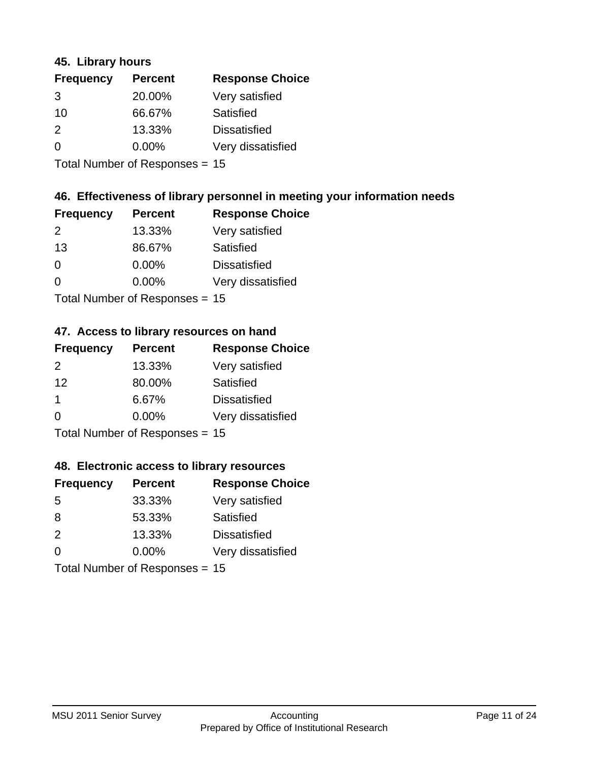### **45. Library hours**

| <b>Frequency</b> | <b>Percent</b> | <b>Response Choice</b> |
|------------------|----------------|------------------------|
| 3                | 20.00%         | Very satisfied         |
| 10               | 66.67%         | Satisfied              |
| $\mathcal{P}$    | 13.33%         | <b>Dissatisfied</b>    |
| 0                | 0.00%          | Very dissatisfied      |
|                  |                |                        |

Total Number of Responses = 15

## **46. Effectiveness of library personnel in meeting your information needs**

| <b>Frequency</b> | <b>Percent</b> | <b>Response Choice</b> |
|------------------|----------------|------------------------|
| $\mathcal{P}$    | 13.33%         | Very satisfied         |
| 13               | 86.67%         | Satisfied              |
| $\Omega$         | 0.00%          | <b>Dissatisfied</b>    |
| $\Omega$         | 0.00%          | Very dissatisfied      |
|                  |                |                        |

Total Number of Responses = 15

### **47. Access to library resources on hand**

| <b>Frequency</b> | <b>Percent</b>                  | <b>Response Choice</b> |
|------------------|---------------------------------|------------------------|
| $\mathcal{P}$    | 13.33%                          | Very satisfied         |
| 12               | 80.00%                          | Satisfied              |
| -1               | 6.67%                           | <b>Dissatisfied</b>    |
| $\Omega$         | $0.00\%$                        | Very dissatisfied      |
|                  | $Total Number of Doonono0 = 4E$ |                        |

Total Number of Responses = 15

### **48. Electronic access to library resources**

| <b>Frequency</b> | <b>Percent</b>            | <b>Response Choice</b> |
|------------------|---------------------------|------------------------|
| 5                | 33.33%                    | Very satisfied         |
| 8                | 53.33%                    | Satisfied              |
| $\mathcal{P}$    | 13.33%                    | <b>Dissatisfied</b>    |
| $\Omega$         | $0.00\%$                  | Very dissatisfied      |
|                  | Total Number of Desponses |                        |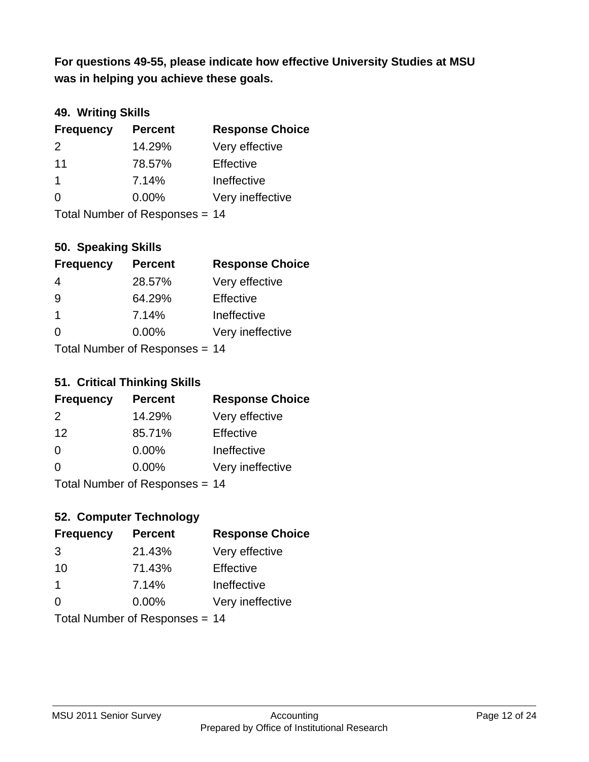**was in helping you achieve these goals. For questions 49-55, please indicate how effective University Studies at MSU** 

### **49. Writing Skills**

| <b>Frequency</b>               | <b>Percent</b> | <b>Response Choice</b> |
|--------------------------------|----------------|------------------------|
| $\mathcal{P}$                  | 14.29%         | Very effective         |
| 11                             | 78.57%         | Effective              |
| $\mathbf 1$                    | 7.14%          | Ineffective            |
| $\Omega$                       | $0.00\%$       | Very ineffective       |
| Total Number of Responses = 14 |                |                        |

### **50. Speaking Skills**

| <b>Frequency</b> | <b>Percent</b>                   | <b>Response Choice</b> |
|------------------|----------------------------------|------------------------|
| 4                | 28.57%                           | Very effective         |
| 9                | 64.29%                           | Effective              |
| -1               | 7.14%                            | Ineffective            |
| $\Omega$         | 0.00%                            | Very ineffective       |
|                  | $Total Number of Doepopose = 11$ |                        |

Total Number of Responses = 14

### **51. Critical Thinking Skills**

| <b>Frequency</b> | <b>Percent</b>           | <b>Response Choice</b> |
|------------------|--------------------------|------------------------|
| 2                | 14.29%                   | Very effective         |
| 12               | 85.71%                   | Effective              |
| $\Omega$         | 0.00%                    | Ineffective            |
| $\Omega$         | 0.00%                    | Very ineffective       |
|                  | Total Number of DoEROR 0 | 1 A                    |

Total Number of Responses = 14

## **52. Computer Technology**

| <b>Frequency</b> | <b>Percent</b>                 | <b>Response Choice</b> |
|------------------|--------------------------------|------------------------|
| 3                | 21.43%                         | Very effective         |
| 10               | 71.43%                         | Effective              |
| $\overline{1}$   | 7.14%                          | Ineffective            |
| $\Omega$         | 0.00%                          | Very ineffective       |
|                  | Total Number of Responses = 14 |                        |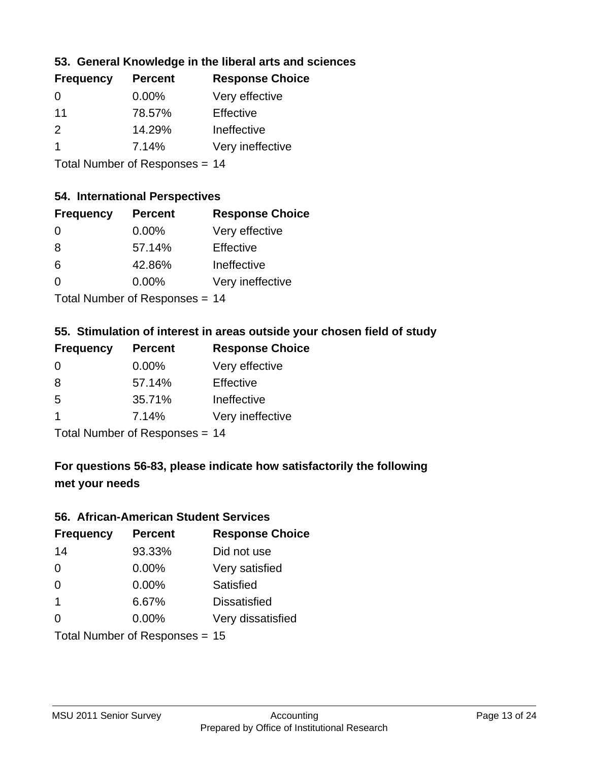### **53. General Knowledge in the liberal arts and sciences**

| <b>Frequency</b> | <b>Percent</b> | <b>Response Choice</b> |
|------------------|----------------|------------------------|
| $\Omega$         | $0.00\%$       | Very effective         |
| 11               | 78.57%         | Effective              |
| $\mathcal{P}$    | 14.29%         | Ineffective            |
|                  | 7.14%          | Very ineffective       |
|                  |                |                        |

Total Number of Responses = 14

### **54. International Perspectives**

| <b>Frequency</b> | <b>Percent</b> | <b>Response Choice</b> |
|------------------|----------------|------------------------|
| $\Omega$         | 0.00%          | Very effective         |
| 8                | 57.14%         | Effective              |
| 6                | 42.86%         | Ineffective            |
| 0                | 0.00%          | Very ineffective       |
|                  |                |                        |

Total Number of Responses = 14

## **55. Stimulation of interest in areas outside your chosen field of study**

| <b>Frequency</b> | <b>Percent</b>                 | <b>Response Choice</b> |
|------------------|--------------------------------|------------------------|
| $\Omega$         | $0.00\%$                       | Very effective         |
| 8                | 57.14%                         | Effective              |
| $\overline{5}$   | 35.71%                         | Ineffective            |
| -1               | 7.14%                          | Very ineffective       |
|                  | Total Number of Responses = 14 |                        |

**For questions 56-83, please indicate how satisfactorily the following met your needs**

### **56. African-American Student Services**

| <b>Frequency</b> | <b>Percent</b>                 | <b>Response Choice</b> |
|------------------|--------------------------------|------------------------|
| 14               | 93.33%                         | Did not use            |
| $\Omega$         | $0.00\%$                       | Very satisfied         |
| $\overline{0}$   | 0.00%                          | Satisfied              |
| $\overline{1}$   | 6.67%                          | <b>Dissatisfied</b>    |
| $\Omega$         | 0.00%                          | Very dissatisfied      |
|                  | Total Number of Responses = 15 |                        |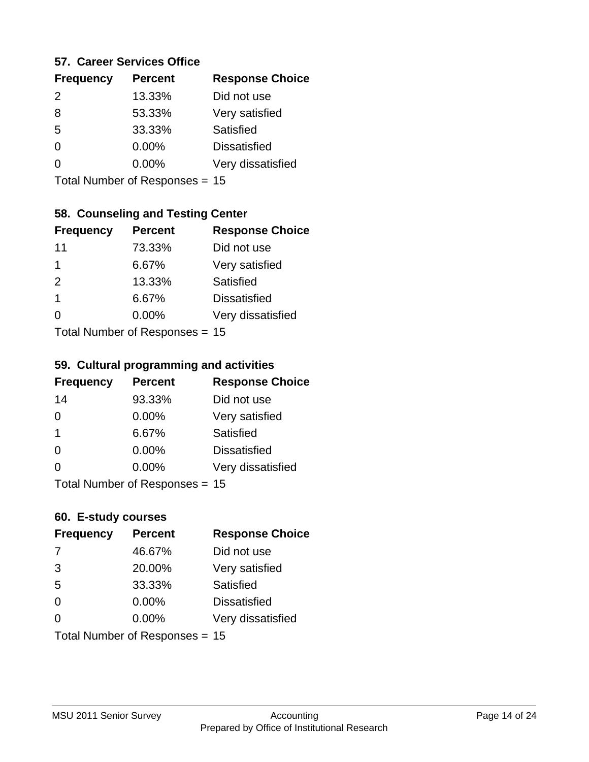### **57. Career Services Office**

| <b>Frequency</b> | <b>Percent</b> | <b>Response Choice</b> |
|------------------|----------------|------------------------|
| $\mathcal{P}$    | 13.33%         | Did not use            |
| 8                | 53.33%         | Very satisfied         |
| 5                | 33.33%         | Satisfied              |
| ∩                | 0.00%          | <b>Dissatisfied</b>    |
|                  | $0.00\%$       | Very dissatisfied      |
|                  |                |                        |

Total Number of Responses = 15

### **58. Counseling and Testing Center**

| <b>Frequency</b> | <b>Percent</b>             | <b>Response Choice</b> |
|------------------|----------------------------|------------------------|
| 11               | 73.33%                     | Did not use            |
| 1                | 6.67%                      | Very satisfied         |
| 2                | 13.33%                     | Satisfied              |
| 1                | 6.67%                      | <b>Dissatisfied</b>    |
| 0                | 0.00%                      | Very dissatisfied      |
|                  | Total Number of Deepersoon |                        |

Total Number of Responses = 15

### **59. Cultural programming and activities**

| <b>Frequency</b> | <b>Percent</b>                 | <b>Response Choice</b> |
|------------------|--------------------------------|------------------------|
| 14               | 93.33%                         | Did not use            |
| 0                | 0.00%                          | Very satisfied         |
| -1               | 6.67%                          | Satisfied              |
| $\Omega$         | 0.00%                          | <b>Dissatisfied</b>    |
| $\Omega$         | $0.00\%$                       | Very dissatisfied      |
|                  | Total Number of Responses = 15 |                        |

### **60. E-study courses**

| <b>Frequency</b> | <b>Percent</b>                 | <b>Response Choice</b> |
|------------------|--------------------------------|------------------------|
| 7                | 46.67%                         | Did not use            |
| 3                | 20.00%                         | Very satisfied         |
| 5                | 33.33%                         | Satisfied              |
| $\Omega$         | 0.00%                          | <b>Dissatisfied</b>    |
| $\Omega$         | $0.00\%$                       | Very dissatisfied      |
|                  | Total Number of Responses = 15 |                        |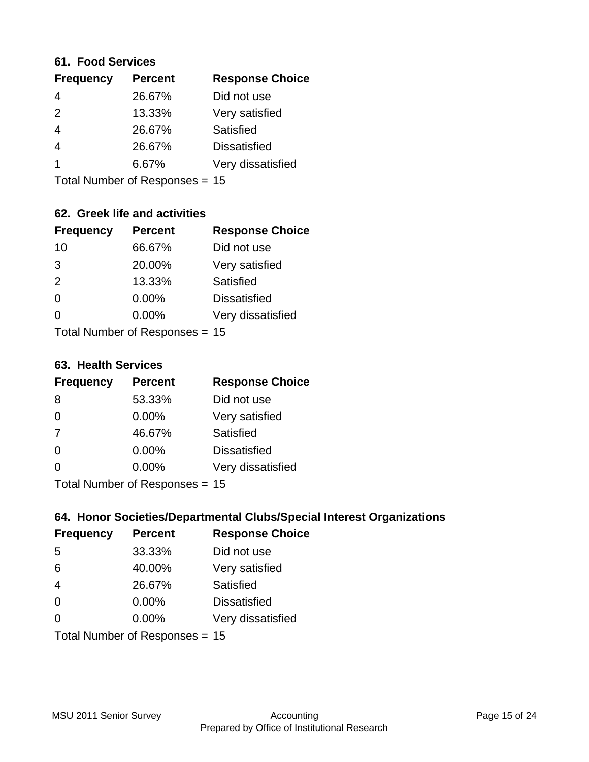### **61. Food Services**

| <b>Percent</b> | <b>Response Choice</b> |
|----------------|------------------------|
| 26.67%         | Did not use            |
| 13.33%         | Very satisfied         |
| 26.67%         | Satisfied              |
| 26.67%         | <b>Dissatisfied</b>    |
| 6.67%          | Very dissatisfied      |
|                |                        |

Total Number of Responses = 15

### **62. Greek life and activities**

| <b>Frequency</b>               | <b>Percent</b> | <b>Response Choice</b> |
|--------------------------------|----------------|------------------------|
| 10                             | 66.67%         | Did not use            |
| 3                              | 20.00%         | Very satisfied         |
| 2                              | 13.33%         | Satisfied              |
| $\Omega$                       | 0.00%          | <b>Dissatisfied</b>    |
| O                              | 0.00%          | Very dissatisfied      |
| Total Number of Responses = 15 |                |                        |

**63. Health Services**

| <b>Frequency</b>                | <b>Percent</b> | <b>Response Choice</b> |
|---------------------------------|----------------|------------------------|
| 8                               | 53.33%         | Did not use            |
| $\Omega$                        | $0.00\%$       | Very satisfied         |
| 7                               | 46.67%         | Satisfied              |
| $\Omega$                        | 0.00%          | <b>Dissatisfied</b>    |
| $\Omega$                        | 0.00%          | Very dissatisfied      |
| $Total$ Number of Despasses $-$ |                |                        |

Total Number of Responses = 15

### **64. Honor Societies/Departmental Clubs/Special Interest Organizations**

| <b>Frequency</b>               | <b>Percent</b> | <b>Response Choice</b> |
|--------------------------------|----------------|------------------------|
| 5                              | 33.33%         | Did not use            |
| 6                              | 40.00%         | Very satisfied         |
| $\overline{4}$                 | 26.67%         | Satisfied              |
| $\Omega$                       | 0.00%          | <b>Dissatisfied</b>    |
| $\Omega$                       | 0.00%          | Very dissatisfied      |
| Total Number of Responses = 15 |                |                        |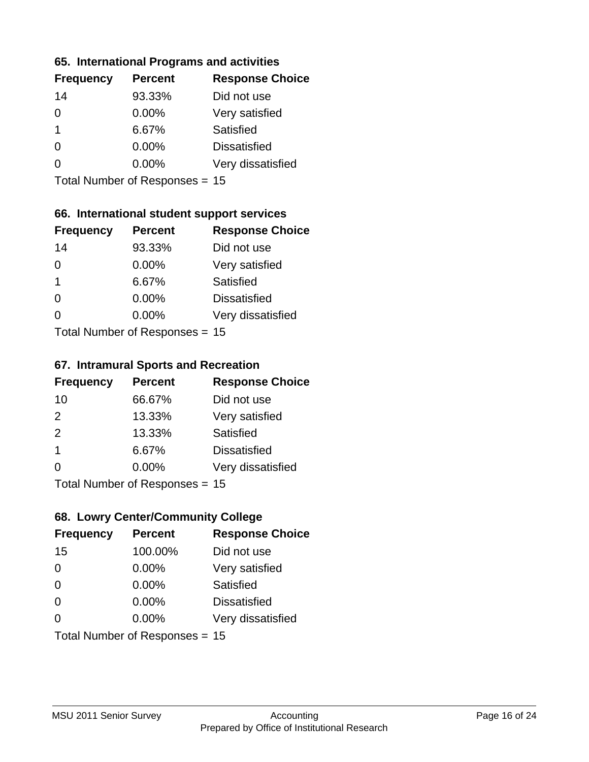### **65. International Programs and activities**

| <b>Frequency</b> | <b>Percent</b> | <b>Response Choice</b> |
|------------------|----------------|------------------------|
| 14               | 93.33%         | Did not use            |
| 0                | 0.00%          | Very satisfied         |
| 1                | 6.67%          | Satisfied              |
| O                | $0.00\%$       | <b>Dissatisfied</b>    |
|                  | $0.00\%$       | Very dissatisfied      |
|                  |                |                        |

Total Number of Responses = 15

### **66. International student support services**

| <b>Frequency</b>          | <b>Percent</b> | <b>Response Choice</b> |
|---------------------------|----------------|------------------------|
| 14                        | 93.33%         | Did not use            |
| $\Omega$                  | 0.00%          | Very satisfied         |
| $\mathbf 1$               | 6.67%          | <b>Satisfied</b>       |
| $\Omega$                  | 0.00%          | <b>Dissatisfied</b>    |
| ∩                         | 0.00%          | Very dissatisfied      |
| Total Number of Desponses |                |                        |

Total Number of Responses = 15

### **67. Intramural Sports and Recreation**

| <b>Frequency</b>                | <b>Percent</b> | <b>Response Choice</b> |
|---------------------------------|----------------|------------------------|
| 10                              | 66.67%         | Did not use            |
| 2                               | 13.33%         | Very satisfied         |
| 2                               | 13.33%         | Satisfied              |
| -1                              | 6.67%          | <b>Dissatisfied</b>    |
| $\Omega$                        | 0.00%          | Very dissatisfied      |
| $Total Number of Denonose = 45$ |                |                        |

I otal Number of Responses = 15

### **68. Lowry Center/Community College**

| <b>Frequency</b> | <b>Percent</b>                 | <b>Response Choice</b> |
|------------------|--------------------------------|------------------------|
| 15               | 100.00%                        | Did not use            |
| $\Omega$         | 0.00%                          | Very satisfied         |
| $\Omega$         | 0.00%                          | Satisfied              |
| $\Omega$         | $0.00\%$                       | <b>Dissatisfied</b>    |
| $\Omega$         | $0.00\%$                       | Very dissatisfied      |
|                  | Total Number of Responses = 15 |                        |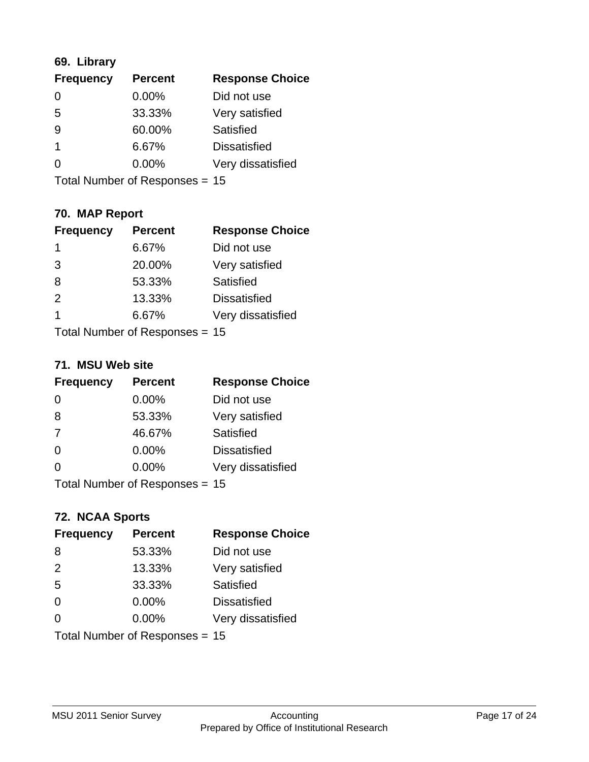### **69. Library**

| <b>Frequency</b> | <b>Percent</b> | <b>Response Choice</b> |
|------------------|----------------|------------------------|
| 0                | 0.00%          | Did not use            |
| 5                | 33.33%         | Very satisfied         |
| 9                | 60.00%         | Satisfied              |
|                  | 6.67%          | <b>Dissatisfied</b>    |
| O                | $0.00\%$       | Very dissatisfied      |
|                  |                |                        |

Total Number of Responses = 15

## **70. MAP Report**

| <b>Frequency</b>               | <b>Percent</b> | <b>Response Choice</b> |
|--------------------------------|----------------|------------------------|
| 1                              | 6.67%          | Did not use            |
| 3                              | 20.00%         | Very satisfied         |
| 8                              | 53.33%         | Satisfied              |
| 2                              | 13.33%         | <b>Dissatisfied</b>    |
| 1                              | 6.67%          | Very dissatisfied      |
| Total Number of Responses = 15 |                |                        |

### **71. MSU Web site**

| <b>Frequency</b>                 | <b>Percent</b> | <b>Response Choice</b> |
|----------------------------------|----------------|------------------------|
| $\Omega$                         | $0.00\%$       | Did not use            |
| 8                                | 53.33%         | Very satisfied         |
| 7                                | 46.67%         | Satisfied              |
| $\Omega$                         | 0.00%          | <b>Dissatisfied</b>    |
| $\Omega$                         | 0.00%          | Very dissatisfied      |
| Total Number of Responses $= 15$ |                |                        |

### **72. NCAA Sports**

| <b>Frequency</b>               | <b>Percent</b> | <b>Response Choice</b> |
|--------------------------------|----------------|------------------------|
| 8                              | 53.33%         | Did not use            |
| 2                              | 13.33%         | Very satisfied         |
| 5                              | 33.33%         | Satisfied              |
| $\Omega$                       | 0.00%          | <b>Dissatisfied</b>    |
| $\Omega$                       | $0.00\%$       | Very dissatisfied      |
| Total Number of Responses = 15 |                |                        |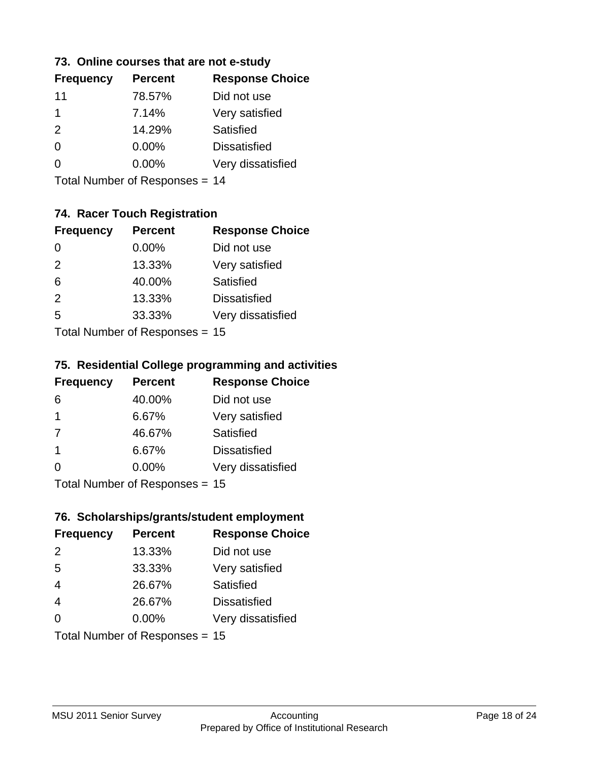### **73. Online courses that are not e-study**

| <b>Percent</b> | <b>Response Choice</b> |
|----------------|------------------------|
| 78.57%         | Did not use            |
| 7.14%          | Very satisfied         |
| 14.29%         | Satisfied              |
| $0.00\%$       | <b>Dissatisfied</b>    |
| $0.00\%$       | Very dissatisfied      |
|                |                        |

Total Number of Responses = 14

## **74. Racer Touch Registration**

| <b>Frequency</b>          | <b>Percent</b> | <b>Response Choice</b> |
|---------------------------|----------------|------------------------|
| $\Omega$                  | 0.00%          | Did not use            |
| 2                         | 13.33%         | Very satisfied         |
| 6                         | 40.00%         | <b>Satisfied</b>       |
| 2                         | 13.33%         | <b>Dissatisfied</b>    |
| 5                         | 33.33%         | Very dissatisfied      |
| Total Number of Desponses |                |                        |

Total Number of Responses = 15

### **75. Residential College programming and activities**

| <b>Frequency</b>        | <b>Percent</b>            | <b>Response Choice</b> |
|-------------------------|---------------------------|------------------------|
| 6                       | 40.00%                    | Did not use            |
| $\overline{\mathbf{1}}$ | 6.67%                     | Very satisfied         |
| 7                       | 46.67%                    | Satisfied              |
| -1                      | 6.67%                     | <b>Dissatisfied</b>    |
| $\Omega$                | 0.00%                     | Very dissatisfied      |
|                         | Total Number of DoEROR 0. |                        |

Total Number of Responses = 15

### **76. Scholarships/grants/student employment**

| <b>Frequency</b> | <b>Percent</b>                 | <b>Response Choice</b> |
|------------------|--------------------------------|------------------------|
| 2                | 13.33%                         | Did not use            |
| 5                | 33.33%                         | Very satisfied         |
| $\overline{4}$   | 26.67%                         | Satisfied              |
| $\overline{4}$   | 26.67%                         | <b>Dissatisfied</b>    |
| $\Omega$         | 0.00%                          | Very dissatisfied      |
|                  | Total Number of Responses = 15 |                        |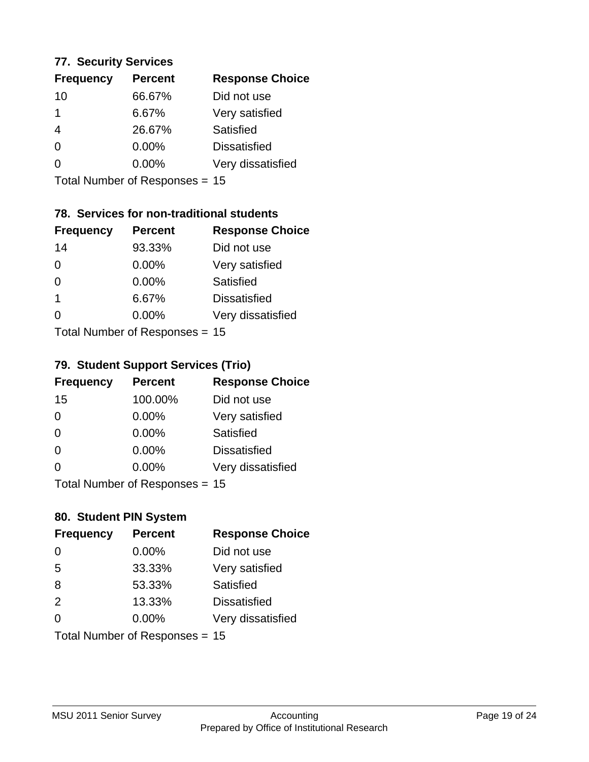### **77. Security Services**

| <b>Frequency</b> | <b>Percent</b> | <b>Response Choice</b> |
|------------------|----------------|------------------------|
| 10               | 66.67%         | Did not use            |
|                  | 6.67%          | Very satisfied         |
| 4                | 26.67%         | Satisfied              |
| 0                | $0.00\%$       | <b>Dissatisfied</b>    |
| O                | $0.00\%$       | Very dissatisfied      |
|                  |                |                        |

Total Number of Responses = 15

### **78. Services for non-traditional students**

| <b>Frequency</b>          | <b>Percent</b> | <b>Response Choice</b> |
|---------------------------|----------------|------------------------|
| 14                        | 93.33%         | Did not use            |
| 0                         | 0.00%          | Very satisfied         |
| $\Omega$                  | $0.00\%$       | Satisfied              |
| $\mathbf 1$               | 6.67%          | <b>Dissatisfied</b>    |
| ∩                         | 0.00%          | Very dissatisfied      |
| Total Number of Desponses |                |                        |

Total Number of Responses = 15

### **79. Student Support Services (Trio)**

| <b>Frequency</b> | <b>Percent</b>                  | <b>Response Choice</b> |
|------------------|---------------------------------|------------------------|
| 15               | 100.00%                         | Did not use            |
| $\Omega$         | $0.00\%$                        | Very satisfied         |
| $\Omega$         | $0.00\%$                        | Satisfied              |
| $\Omega$         | $0.00\%$                        | <b>Dissatisfied</b>    |
| $\Omega$         | $0.00\%$                        | Very dissatisfied      |
|                  | $Total Number of Denonose = 45$ |                        |

I otal Number of Responses = 15

### **80. Student PIN System**

| <b>Frequency</b>               | <b>Percent</b> | <b>Response Choice</b> |
|--------------------------------|----------------|------------------------|
| $\Omega$                       | 0.00%          | Did not use            |
| 5                              | 33.33%         | Very satisfied         |
| 8                              | 53.33%         | Satisfied              |
| 2                              | 13.33%         | <b>Dissatisfied</b>    |
| 0                              | 0.00%          | Very dissatisfied      |
| Total Number of Responses = 15 |                |                        |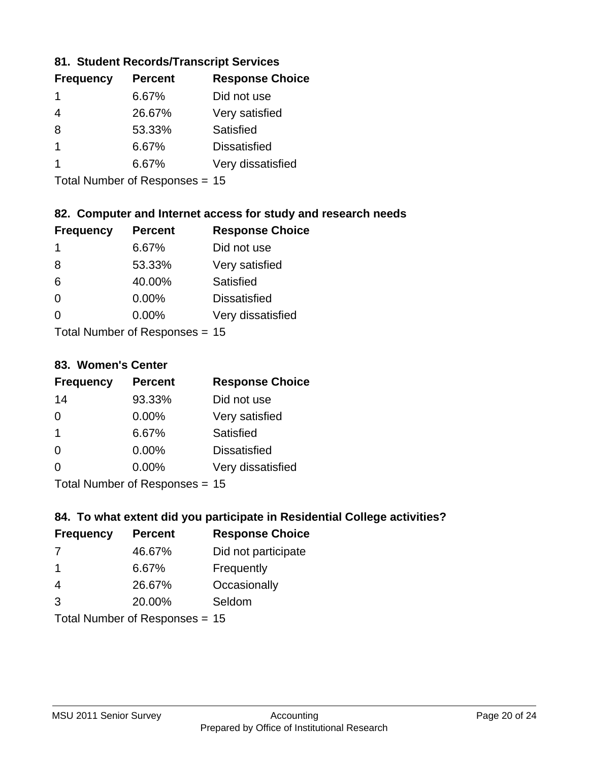### **81. Student Records/Transcript Services**

| <b>Frequency</b> | <b>Percent</b> | <b>Response Choice</b> |
|------------------|----------------|------------------------|
|                  | 6.67%          | Did not use            |
| 4                | 26.67%         | Very satisfied         |
| 8                | 53.33%         | Satisfied              |
|                  | 6.67%          | <b>Dissatisfied</b>    |
|                  | 6.67%          | Very dissatisfied      |

Total Number of Responses = 15

### **82. Computer and Internet access for study and research needs**

| <b>Frequency</b>          | <b>Percent</b> | <b>Response Choice</b> |
|---------------------------|----------------|------------------------|
| 1                         | 6.67%          | Did not use            |
| 8                         | 53.33%         | Very satisfied         |
| 6                         | 40.00%         | Satisfied              |
| $\Omega$                  | 0.00%          | <b>Dissatisfied</b>    |
| ∩                         | 0.00%          | Very dissatisfied      |
| Total Number of Deepersee |                |                        |

Total Number of Responses = 15

### **83. Women's Center**

| <b>Frequency</b>          | <b>Percent</b> | <b>Response Choice</b> |
|---------------------------|----------------|------------------------|
| 14                        | 93.33%         | Did not use            |
| $\Omega$                  | $0.00\%$       | Very satisfied         |
| -1                        | 6.67%          | Satisfied              |
| $\Omega$                  | 0.00%          | <b>Dissatisfied</b>    |
| $\Omega$                  | 0.00%          | Very dissatisfied      |
| Total Number of Desponses |                |                        |

Total Number of Responses = 15

### **84. To what extent did you participate in Residential College activities?**

| <b>Frequency</b> | <b>Percent</b>             | <b>Response Choice</b> |
|------------------|----------------------------|------------------------|
| 7                | 46.67%                     | Did not participate    |
| -1               | 6.67%                      | Frequently             |
| 4                | 26.67%                     | Occasionally           |
| 3                | 20.00%                     | Seldom                 |
|                  | Total Number of Denonone – |                        |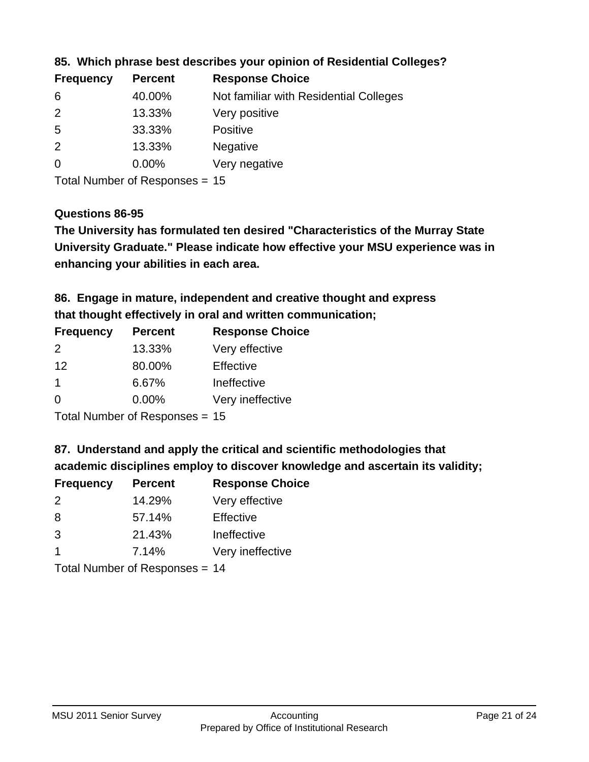| <b>Frequency</b> | <b>Percent</b> | <b>Response Choice</b>                 |
|------------------|----------------|----------------------------------------|
| 6                | 40.00%         | Not familiar with Residential Colleges |
| $\overline{2}$   | 13.33%         | Very positive                          |
| -5               | 33.33%         | <b>Positive</b>                        |
| 2                | 13.33%         | <b>Negative</b>                        |
| $\overline{0}$   | $0.00\%$       | Very negative                          |
|                  |                |                                        |

### **85. Which phrase best describes your opinion of Residential Colleges?**

Total Number of Responses = 15

### **Questions 86-95**

**University Graduate." Please indicate how effective your MSU experience was in The University has formulated ten desired "Characteristics of the Murray State enhancing your abilities in each area.**

**86. Engage in mature, independent and creative thought and express that thought effectively in oral and written communication;**

| <b>Frequency</b> | <b>Percent</b> | <b>Response Choice</b> |
|------------------|----------------|------------------------|
| $\mathcal{P}$    | 13.33%         | Very effective         |
| 12               | 80.00%         | Effective              |
|                  | 6.67%          | Ineffective            |
| $\Omega$         | $0.00\%$       | Very ineffective       |

Total Number of Responses = 15

**87. Understand and apply the critical and scientific methodologies that** 

**academic disciplines employ to discover knowledge and ascertain its validity;**

| <b>Frequency</b> | <b>Percent</b> | <b>Response Choice</b> |
|------------------|----------------|------------------------|
| 2                | 14.29%         | Very effective         |
| 8                | 57.14%         | Effective              |
| 3                | 21.43%         | Ineffective            |
| $\overline{1}$   | 7.14%          | Very ineffective       |
|                  |                |                        |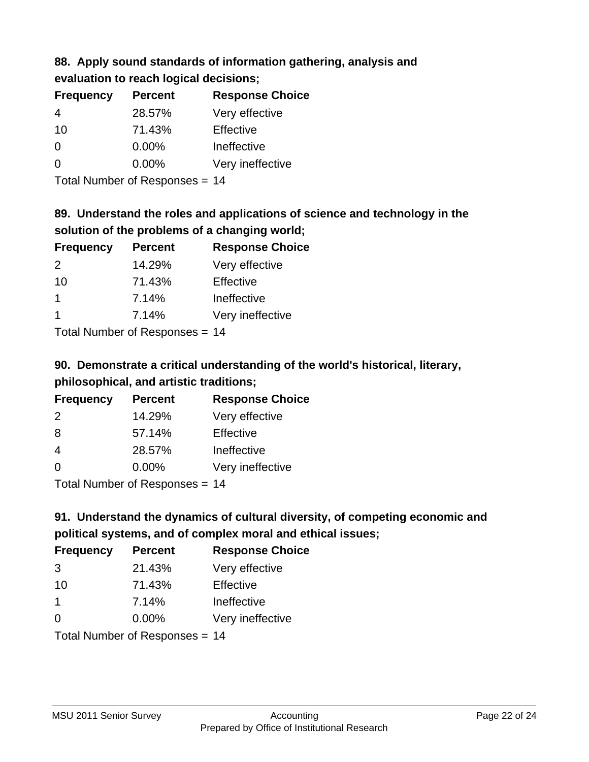## **88. Apply sound standards of information gathering, analysis and evaluation to reach logical decisions;**

| <b>Frequency</b> | <b>Percent</b> | <b>Response Choice</b> |
|------------------|----------------|------------------------|
| 4                | 28.57%         | Very effective         |
| 10               | 71.43%         | Effective              |
| O                | $0.00\%$       | Ineffective            |
| O                | $0.00\%$       | Very ineffective       |
|                  |                |                        |

Total Number of Responses = 14

## **89. Understand the roles and applications of science and technology in the solution of the problems of a changing world;**

| <b>Frequency</b>     | <b>Percent</b> | <b>Response Choice</b> |
|----------------------|----------------|------------------------|
| $\mathcal{P}$        | 14.29%         | Very effective         |
| 10                   | 71.43%         | Effective              |
| $\mathbf 1$          | 7.14%          | Ineffective            |
| $\blacktriangleleft$ | 7.14%          | Very ineffective       |
|                      |                |                        |

Total Number of Responses = 14

## **90. Demonstrate a critical understanding of the world's historical, literary, philosophical, and artistic traditions;**

| <b>Frequency</b> | <b>Percent</b> | <b>Response Choice</b> |
|------------------|----------------|------------------------|
| 2                | 14.29%         | Very effective         |
| 8                | 57.14%         | Effective              |
| 4                | 28.57%         | Ineffective            |
| $\Omega$         | 0.00%          | Very ineffective       |
|                  |                |                        |

Total Number of Responses = 14

## **91. Understand the dynamics of cultural diversity, of competing economic and political systems, and of complex moral and ethical issues;**

| <b>Frequency</b> | <b>Percent</b>                 | <b>Response Choice</b> |
|------------------|--------------------------------|------------------------|
| 3                | 21.43%                         | Very effective         |
| 10               | 71.43%                         | Effective              |
| $\mathbf 1$      | 7.14%                          | Ineffective            |
| $\Omega$         | 0.00%                          | Very ineffective       |
|                  | Total Number of Responses = 14 |                        |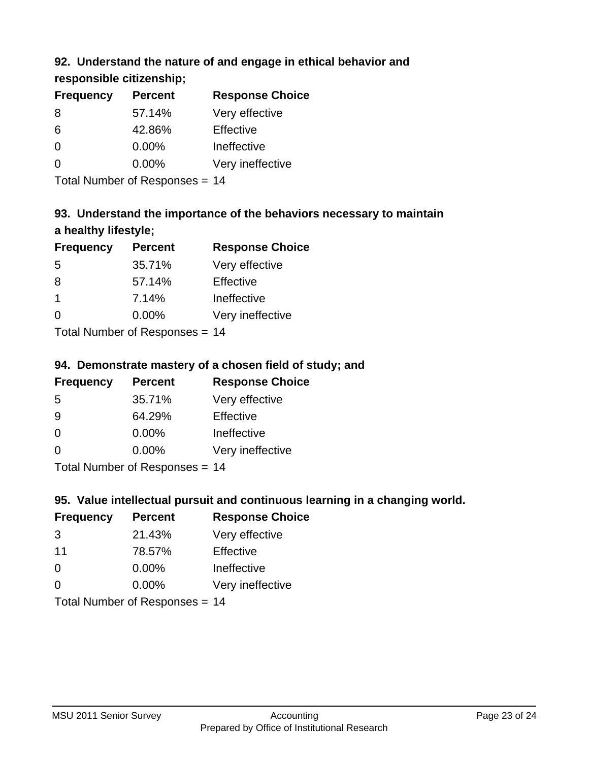## **92. Understand the nature of and engage in ethical behavior and**

**responsible citizenship;**

| <b>Frequency</b> | <b>Percent</b> | <b>Response Choice</b> |
|------------------|----------------|------------------------|
| 8                | 57.14%         | Very effective         |
| 6                | 42.86%         | Effective              |
| 0                | $0.00\%$       | Ineffective            |
| $\Omega$         | $0.00\%$       | Very ineffective       |
|                  |                |                        |

Total Number of Responses = 14

## **93. Understand the importance of the behaviors necessary to maintain a healthy lifestyle;**

| <b>Frequency</b>        | <b>Percent</b> | <b>Response Choice</b> |
|-------------------------|----------------|------------------------|
| 5                       | 35.71%         | Very effective         |
| 8                       | 57.14%         | Effective              |
| $\overline{\mathbf{1}}$ | 7.14%          | Ineffective            |
| $\Omega$                | 0.00%          | Very ineffective       |
|                         |                |                        |

Total Number of Responses = 14

## **94. Demonstrate mastery of a chosen field of study; and**

| <b>Frequency</b> | <b>Percent</b> | <b>Response Choice</b> |
|------------------|----------------|------------------------|
| 5                | 35.71%         | Very effective         |
| 9                | 64.29%         | Effective              |
| $\Omega$         | 0.00%          | Ineffective            |
| $\Omega$         | 0.00%          | Very ineffective       |
|                  |                |                        |

Total Number of Responses = 14

## **95. Value intellectual pursuit and continuous learning in a changing world.**

| <b>Frequency</b> | <b>Percent</b>             | <b>Response Choice</b> |
|------------------|----------------------------|------------------------|
| 3                | 21.43%                     | Very effective         |
| 11               | 78.57%                     | Effective              |
| $\Omega$         | 0.00%                      | Ineffective            |
| $\Omega$         | 0.00%                      | Very ineffective       |
|                  | Total Number of Deepersoon | 4 A                    |